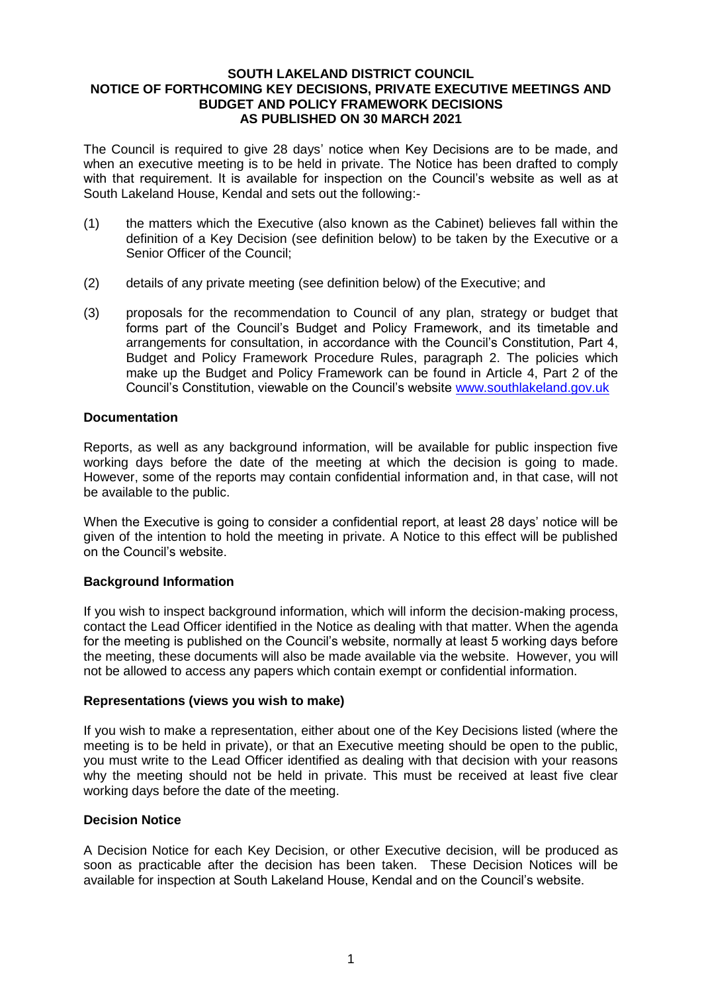#### **SOUTH LAKELAND DISTRICT COUNCIL NOTICE OF FORTHCOMING KEY DECISIONS, PRIVATE EXECUTIVE MEETINGS AND BUDGET AND POLICY FRAMEWORK DECISIONS AS PUBLISHED ON 30 MARCH 2021**

The Council is required to give 28 days' notice when Key Decisions are to be made, and when an executive meeting is to be held in private. The Notice has been drafted to comply with that requirement. It is available for inspection on the Council's website as well as at South Lakeland House, Kendal and sets out the following:-

- (1) the matters which the Executive (also known as the Cabinet) believes fall within the definition of a Key Decision (see definition below) to be taken by the Executive or a Senior Officer of the Council;
- (2) details of any private meeting (see definition below) of the Executive; and
- (3) proposals for the recommendation to Council of any plan, strategy or budget that forms part of the Council's Budget and Policy Framework, and its timetable and arrangements for consultation, in accordance with the Council's Constitution, Part 4, Budget and Policy Framework Procedure Rules, paragraph 2. The policies which make up the Budget and Policy Framework can be found in Article 4, Part 2 of the Council's Constitution, viewable on the Council's website [www.southlakeland.gov.uk](http://www.southlakeland.gov.uk/)

#### **Documentation**

Reports, as well as any background information, will be available for public inspection five working days before the date of the meeting at which the decision is going to made. However, some of the reports may contain confidential information and, in that case, will not be available to the public.

When the Executive is going to consider a confidential report, at least 28 days' notice will be given of the intention to hold the meeting in private. A Notice to this effect will be published on the Council's website.

# **Background Information**

If you wish to inspect background information, which will inform the decision-making process, contact the Lead Officer identified in the Notice as dealing with that matter. When the agenda for the meeting is published on the Council's website, normally at least 5 working days before the meeting, these documents will also be made available via the website. However, you will not be allowed to access any papers which contain exempt or confidential information.

#### **Representations (views you wish to make)**

If you wish to make a representation, either about one of the Key Decisions listed (where the meeting is to be held in private), or that an Executive meeting should be open to the public, you must write to the Lead Officer identified as dealing with that decision with your reasons why the meeting should not be held in private. This must be received at least five clear working days before the date of the meeting.

#### **Decision Notice**

A Decision Notice for each Key Decision, or other Executive decision, will be produced as soon as practicable after the decision has been taken. These Decision Notices will be available for inspection at South Lakeland House, Kendal and on the Council's website.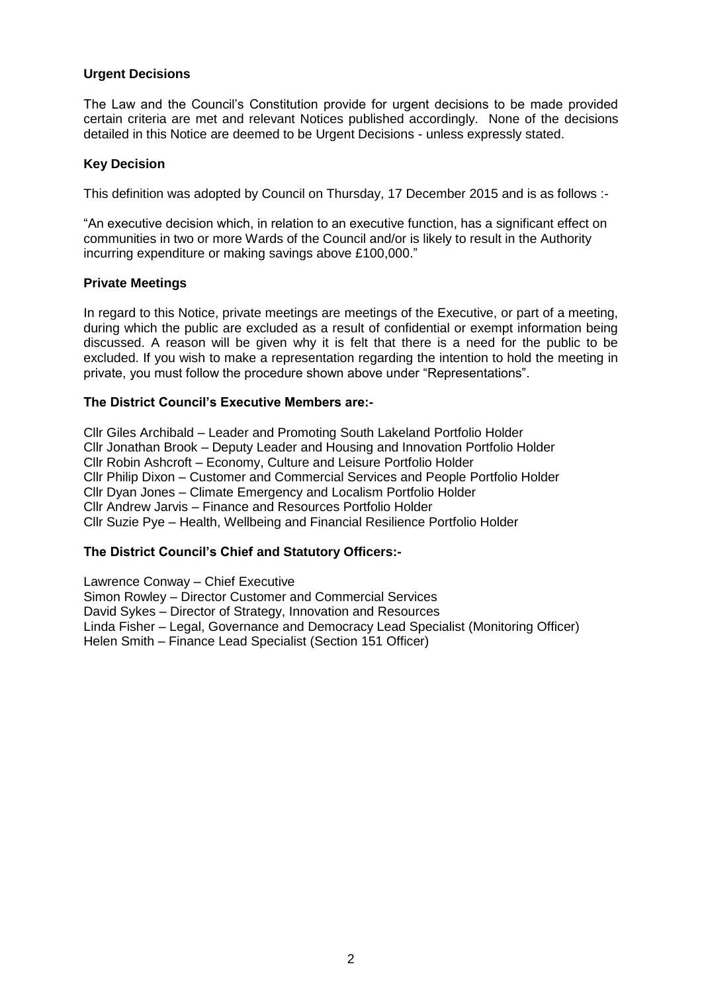# **Urgent Decisions**

The Law and the Council's Constitution provide for urgent decisions to be made provided certain criteria are met and relevant Notices published accordingly. None of the decisions detailed in this Notice are deemed to be Urgent Decisions - unless expressly stated.

# **Key Decision**

This definition was adopted by Council on Thursday, 17 December 2015 and is as follows :-

"An executive decision which, in relation to an executive function, has a significant effect on communities in two or more Wards of the Council and/or is likely to result in the Authority incurring expenditure or making savings above £100,000."

#### **Private Meetings**

In regard to this Notice, private meetings are meetings of the Executive, or part of a meeting, during which the public are excluded as a result of confidential or exempt information being discussed. A reason will be given why it is felt that there is a need for the public to be excluded. If you wish to make a representation regarding the intention to hold the meeting in private, you must follow the procedure shown above under "Representations".

# **The District Council's Executive Members are:-**

Cllr Giles Archibald – Leader and Promoting South Lakeland Portfolio Holder Cllr Jonathan Brook – Deputy Leader and Housing and Innovation Portfolio Holder Cllr Robin Ashcroft – Economy, Culture and Leisure Portfolio Holder Cllr Philip Dixon – Customer and Commercial Services and People Portfolio Holder Cllr Dyan Jones – Climate Emergency and Localism Portfolio Holder Cllr Andrew Jarvis – Finance and Resources Portfolio Holder Cllr Suzie Pye – Health, Wellbeing and Financial Resilience Portfolio Holder

# **The District Council's Chief and Statutory Officers:-**

Lawrence Conway – Chief Executive Simon Rowley – Director Customer and Commercial Services David Sykes – Director of Strategy, Innovation and Resources Linda Fisher – Legal, Governance and Democracy Lead Specialist (Monitoring Officer)

Helen Smith – Finance Lead Specialist (Section 151 Officer)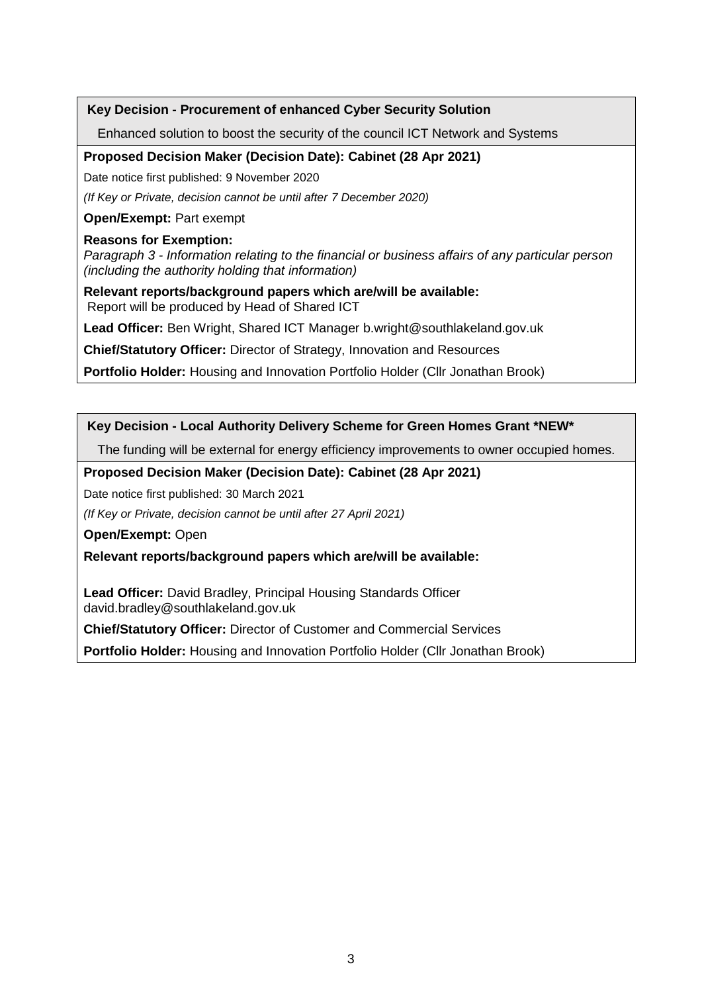# **Key Decision - Procurement of enhanced Cyber Security Solution**

Enhanced solution to boost the security of the council ICT Network and Systems

# **Proposed Decision Maker (Decision Date): Cabinet (28 Apr 2021)**

Date notice first published: 9 November 2020

*(If Key or Private, decision cannot be until after 7 December 2020)*

**Open/Exempt:** Part exempt

#### **Reasons for Exemption:**

*Paragraph 3 - Information relating to the financial or business affairs of any particular person (including the authority holding that information)* 

**Relevant reports/background papers which are/will be available:** Report will be produced by Head of Shared ICT

**Lead Officer:** Ben Wright, Shared ICT Manager b.wright@southlakeland.gov.uk

**Chief/Statutory Officer:** Director of Strategy, Innovation and Resources

**Portfolio Holder:** Housing and Innovation Portfolio Holder (Cllr Jonathan Brook)

# **Key Decision - Local Authority Delivery Scheme for Green Homes Grant \*NEW\***

The funding will be external for energy efficiency improvements to owner occupied homes.

**Proposed Decision Maker (Decision Date): Cabinet (28 Apr 2021)**

Date notice first published: 30 March 2021

*(If Key or Private, decision cannot be until after 27 April 2021)*

**Open/Exempt:** Open

**Relevant reports/background papers which are/will be available:**

**Lead Officer:** David Bradley, Principal Housing Standards Officer david.bradley@southlakeland.gov.uk

**Chief/Statutory Officer:** Director of Customer and Commercial Services

**Portfolio Holder:** Housing and Innovation Portfolio Holder (Cllr Jonathan Brook)